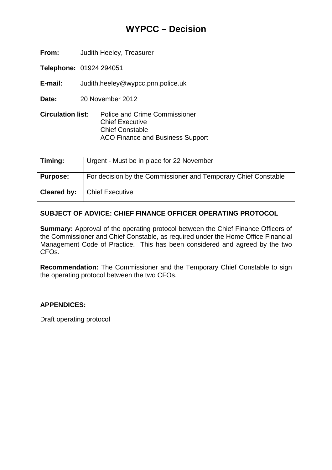# **WYPCC – Decision**

**From:** Judith Heeley, Treasurer

**Telephone:** 01924 294051

**E-mail:** Judith.heeley@wypcc.pnn.police.uk

**Date:** 20 November 2012

**Circulation list:** Police and Crime Commissioner Chief Executive Chief Constable ACO Finance and Business Support

| Timing:         | Urgent - Must be in place for 22 November                      |
|-----------------|----------------------------------------------------------------|
| <b>Purpose:</b> | For decision by the Commissioner and Temporary Chief Constable |
| Cleared by:     | <b>Chief Executive</b>                                         |

#### **SUBJECT OF ADVICE: CHIEF FINANCE OFFICER OPERATING PROTOCOL**

**Summary:** Approval of the operating protocol between the Chief Finance Officers of the Commissioner and Chief Constable, as required under the Home Office Financial Management Code of Practice. This has been considered and agreed by the two CFOs.

**Recommendation:** The Commissioner and the Temporary Chief Constable to sign the operating protocol between the two CFOs.

#### **APPENDICES:**

Draft operating protocol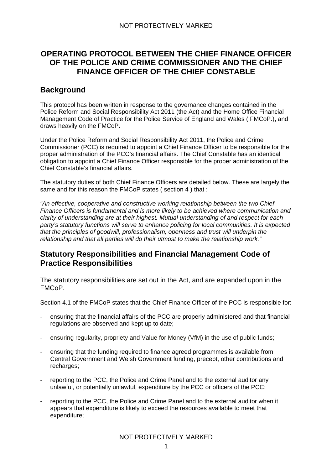# **OPERATING PROTOCOL BETWEEN THE CHIEF FINANCE OFFICER OF THE POLICE AND CRIME COMMISSIONER AND THE CHIEF FINANCE OFFICER OF THE CHIEF CONSTABLE**

### **Background**

This protocol has been written in response to the governance changes contained in the Police Reform and Social Responsibility Act 2011 (the Act) and the Home Office Financial Management Code of Practice for the Police Service of England and Wales ( FMCoP.), and draws heavily on the FMCoP.

Under the Police Reform and Social Responsibility Act 2011, the Police and Crime Commissioner (PCC) is required to appoint a Chief Finance Officer to be responsible for the proper administration of the PCC's financial affairs. The Chief Constable has an identical obligation to appoint a Chief Finance Officer responsible for the proper administration of the Chief Constable's financial affairs.

The statutory duties of both Chief Finance Officers are detailed below. These are largely the same and for this reason the FMCoP states (section 4) that :

*"An effective, cooperative and constructive working relationship between the two Chief Finance Officers is fundamental and is more likely to be achieved where communication and clarity of understanding are at their highest. Mutual understanding of and respect for each party's statutory functions will serve to enhance policing for local communities. It is expected that the principles of goodwill, professionalism, openness and trust will underpin the relationship and that all parties will do their utmost to make the relationship work."* 

### **Statutory Responsibilities and Financial Management Code of Practice Responsibilities**

The statutory responsibilities are set out in the Act, and are expanded upon in the FMCoP.

Section 4.1 of the FMCoP states that the Chief Finance Officer of the PCC is responsible for:

- ensuring that the financial affairs of the PCC are properly administered and that financial regulations are observed and kept up to date;
- ensuring regularity, propriety and Value for Money (VfM) in the use of public funds;
- ensuring that the funding required to finance agreed programmes is available from Central Government and Welsh Government funding, precept, other contributions and recharges;
- reporting to the PCC, the Police and Crime Panel and to the external auditor any unlawful, or potentially unlawful, expenditure by the PCC or officers of the PCC;
- reporting to the PCC, the Police and Crime Panel and to the external auditor when it appears that expenditure is likely to exceed the resources available to meet that expenditure;

NOT PROTECTIVELY MARKED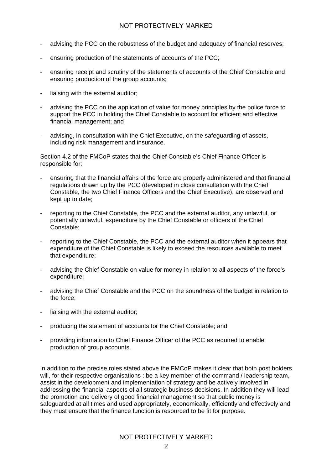- advising the PCC on the robustness of the budget and adequacy of financial reserves;
- ensuring production of the statements of accounts of the PCC;
- ensuring receipt and scrutiny of the statements of accounts of the Chief Constable and ensuring production of the group accounts;
- liaising with the external auditor;
- advising the PCC on the application of value for money principles by the police force to support the PCC in holding the Chief Constable to account for efficient and effective financial management; and
- advising, in consultation with the Chief Executive, on the safeguarding of assets, including risk management and insurance.

Section 4.2 of the FMCoP states that the Chief Constable's Chief Finance Officer is responsible for:

- ensuring that the financial affairs of the force are properly administered and that financial regulations drawn up by the PCC (developed in close consultation with the Chief Constable, the two Chief Finance Officers and the Chief Executive), are observed and kept up to date;
- reporting to the Chief Constable, the PCC and the external auditor, any unlawful, or potentially unlawful, expenditure by the Chief Constable or officers of the Chief Constable;
- reporting to the Chief Constable, the PCC and the external auditor when it appears that expenditure of the Chief Constable is likely to exceed the resources available to meet that expenditure;
- advising the Chief Constable on value for money in relation to all aspects of the force's expenditure;
- advising the Chief Constable and the PCC on the soundness of the budget in relation to the force;
- liaising with the external auditor;
- producing the statement of accounts for the Chief Constable; and
- providing information to Chief Finance Officer of the PCC as required to enable production of group accounts.

In addition to the precise roles stated above the FMCoP makes it clear that both post holders will, for their respective organisations : be a key member of the command / leadership team, assist in the development and implementation of strategy and be actively involved in addressing the financial aspects of all strategic business decisions. In addition they will lead the promotion and delivery of good financial management so that public money is safeguarded at all times and used appropriately, economically, efficiently and effectively and they must ensure that the finance function is resourced to be fit for purpose.

NOT PROTECTIVELY MARKED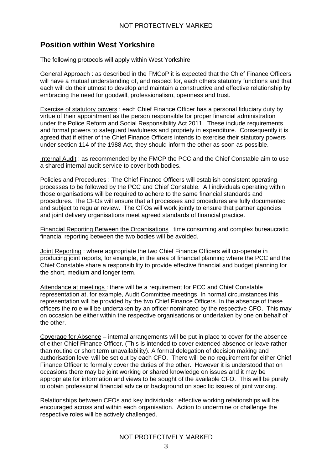# **Position within West Yorkshire**

The following protocols will apply within West Yorkshire

General Approach : as described in the FMCoP it is expected that the Chief Finance Officers will have a mutual understanding of, and respect for, each others statutory functions and that each will do their utmost to develop and maintain a constructive and effective relationship by embracing the need for goodwill, professionalism, openness and trust.

Exercise of statutory powers : each Chief Finance Officer has a personal fiduciary duty by virtue of their appointment as the person responsible for proper financial administration under the Police Reform and Social Responsibility Act 2011. These include requirements and formal powers to safeguard lawfulness and propriety in expenditure. Consequently it is agreed that if either of the Chief Finance Officers intends to exercise their statutory powers under section 114 of the 1988 Act, they should inform the other as soon as possible.

Internal Audit : as recommended by the FMCP the PCC and the Chief Constable aim to use a shared internal audit service to cover both bodies.

Policies and Procedures : The Chief Finance Officers will establish consistent operating processes to be followed by the PCC and Chief Constable. All individuals operating within those organisations will be required to adhere to the same financial standards and procedures. The CFOs will ensure that all processes and procedures are fully documented and subject to regular review. The CFOs will work jointly to ensure that partner agencies and joint delivery organisations meet agreed standards of financial practice.

Financial Reporting Between the Organisations : time consuming and complex bureaucratic financial reporting between the two bodies will be avoided.

Joint Reporting : where appropriate the two Chief Finance Officers will co-operate in producing joint reports, for example, in the area of financial planning where the PCC and the Chief Constable share a responsibility to provide effective financial and budget planning for the short, medium and longer term.

Attendance at meetings : there will be a requirement for PCC and Chief Constable representation at, for example, Audit Committee meetings. In normal circumstances this representation will be provided by the two Chief Finance Officers. In the absence of these officers the role will be undertaken by an officer nominated by the respective CFO. This may on occasion be either within the respective organisations or undertaken by one on behalf of the other.

Coverage for Absence – internal arrangements will be put in place to cover for the absence of either Chief Finance Officer. (This is intended to cover extended absence or leave rather than routine or short term unavailability). A formal delegation of decision making and authorisation level will be set out by each CFO. There will be no requirement for either Chief Finance Officer to formally cover the duties of the other. However it is understood that on occasions there may be joint working or shared knowledge on issues and it may be appropriate for information and views to be sought of the available CFO. This will be purely to obtain professional financial advice or background on specific issues of joint working.

Relationships between CFOs and key individuals : effective working relationships will be encouraged across and within each organisation. Action to undermine or challenge the respective roles will be actively challenged.

NOT PROTECTIVELY MARKED